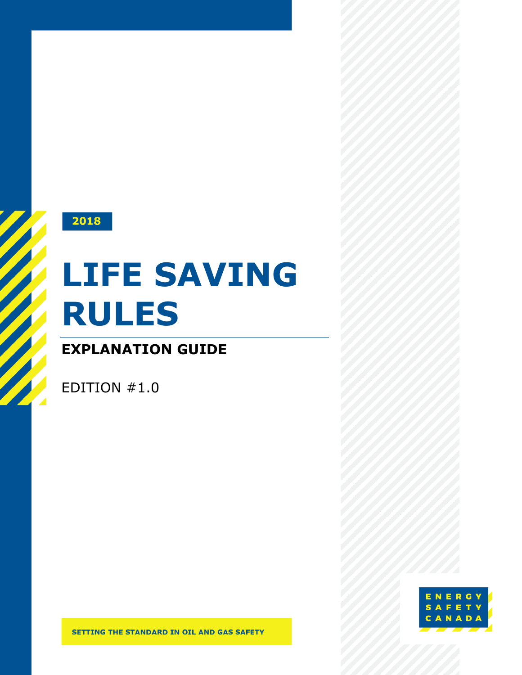

# **LIFE SAVING RULES**

### **EXPLANATION GUIDE**

EDITION #1.0

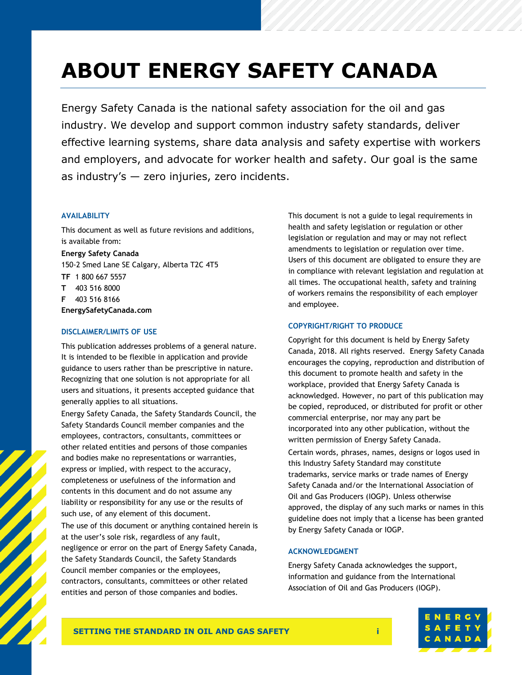### **ABOUT ENERGY SAFETY CANADA**

Energy Safety Canada is the national safety association for the oil and gas industry. We develop and support common industry safety standards, deliver effective learning systems, share data analysis and safety expertise with workers and employers, and advocate for worker health and safety. Our goal is the same as industry's — zero injuries, zero incidents.

### **AVAILABILITY**

This document as well as future revisions and additions, is available from:

**Energy Safety Canada** 150-2 Smed Lane SE Calgary, Alberta T2C 4T5

**TF** 1 800 667 5557

**T** 403 516 8000

**F** 403 516 8166

**[EnergySafetyCanada.com](http://www.energysafetycanada.com/)**

### **DISCLAIMER/LIMITS OF USE**

This publication addresses problems of a general nature. It is intended to be flexible in application and provide guidance to users rather than be prescriptive in nature. Recognizing that one solution is not appropriate for all users and situations, it presents accepted guidance that generally applies to all situations.

Energy Safety Canada, the Safety Standards Council, the Safety Standards Council member companies and the employees, contractors, consultants, committees or other related entities and persons of those companies and bodies make no representations or warranties, express or implied, with respect to the accuracy, completeness or usefulness of the information and contents in this document and do not assume any liability or responsibility for any use or the results of such use, of any element of this document.

The use of this document or anything contained herein is at the user's sole risk, regardless of any fault, negligence or error on the part of Energy Safety Canada, the Safety Standards Council, the Safety Standards Council member companies or the employees, contractors, consultants, committees or other related entities and person of those companies and bodies.

This document is not a guide to legal requirements in health and safety legislation or regulation or other legislation or regulation and may or may not reflect amendments to legislation or regulation over time. Users of this document are obligated to ensure they are in compliance with relevant legislation and regulation at all times. The occupational health, safety and training of workers remains the responsibility of each employer and employee.

### **COPYRIGHT/RIGHT TO PRODUCE**

Copyright for this document is held by Energy Safety Canada, 2018. All rights reserved. Energy Safety Canada encourages the copying, reproduction and distribution of this document to promote health and safety in the workplace, provided that Energy Safety Canada is acknowledged. However, no part of this publication may be copied, reproduced, or distributed for profit or other commercial enterprise, nor may any part be incorporated into any other publication, without the written permission of Energy Safety Canada. Certain words, phrases, names, designs or logos used in this Industry Safety Standard may constitute trademarks, service marks or trade names of Energy Safety Canada and/or the International Association of Oil and Gas Producers (IOGP). Unless otherwise approved, the display of any such marks or names in this guideline does not imply that a license has been granted by Energy Safety Canada or IOGP.

### **ACKNOWLEDGMENT**

Energy Safety Canada acknowledges the support, information and guidance from the International Association of Oil and Gas Producers (IOGP).

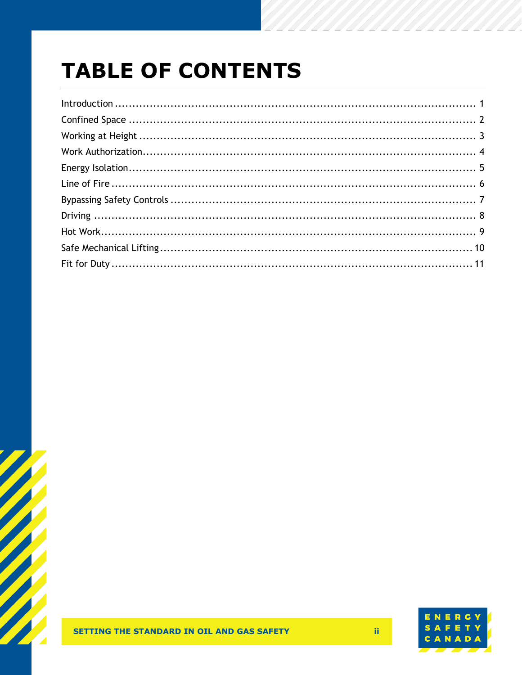# **TABLE OF CONTENTS**



 $\mathbf{ii}$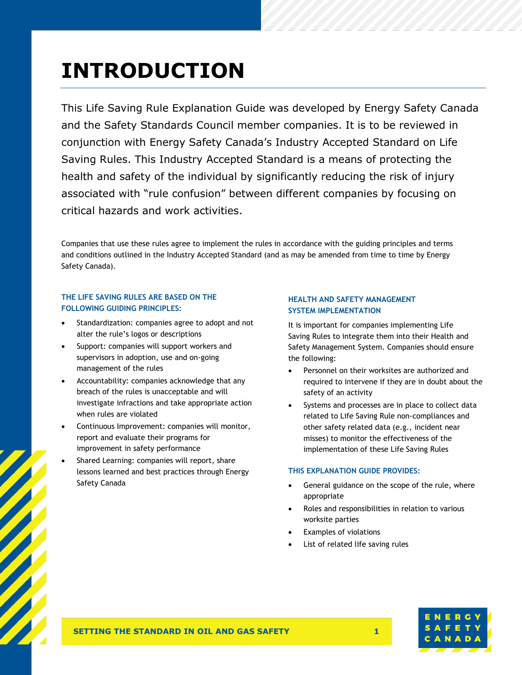### <span id="page-3-0"></span>**INTRODUCTION**

This Life Saving Rule Explanation Guide was developed by Energy Safety Canada and the Safety Standards Council member companies. It is to be reviewed in conjunction with Energy Safety Canada's Industry Accepted Standard on Life Saving Rules. This Industry Accepted Standard is a means of protecting the health and safety of the individual by significantly reducing the risk of injury associated with "rule confusion" between different companies by focusing on critical hazards and work activities.

Companies that use these rules agree to implement the rules in accordance with the guiding principles and terms and conditions outlined in the Industry Accepted Standard (and as may be amended from time to time by Energy Safety Canada).

### **THE LIFE SAVING RULES ARE BASED ON THE FOLLOWING GUIDING PRINCIPLES:**

- Standardization: companies agree to adopt and not alter the rule's logos or descriptions
- Support: companies will support workers and supervisors in adoption, use and on-going management of the rules
- Accountability: companies acknowledge that any breach of the rules is unacceptable and will investigate infractions and take appropriate action when rules are violated
- Continuous Improvement: companies will monitor, report and evaluate their programs for improvement in safety performance
- Shared Learning: companies will report, share lessons learned and best practices through Energy Safety Canada

### **HEALTH AND SAFETY MANAGEMENT SYSTEM IMPLEMENTATION**

It is important for companies implementing Life Saving Rules to integrate them into their Health and Safety Management System. Companies should ensure the following:

- Personnel on their worksites are authorized and required to intervene if they are in doubt about the safety of an activity
- Systems and processes are in place to collect data related to Life Saving Rule non-compliances and other safety related data (e.g., incident near misses) to monitor the effectiveness of the implementation of these Life Saving Rules

### **THIS EXPLANATION GUIDE PROVIDES:**

- General guidance on the scope of the rule, where appropriate
- Roles and responsibilities in relation to various worksite parties
- Examples of violations
- List of related life saving rules

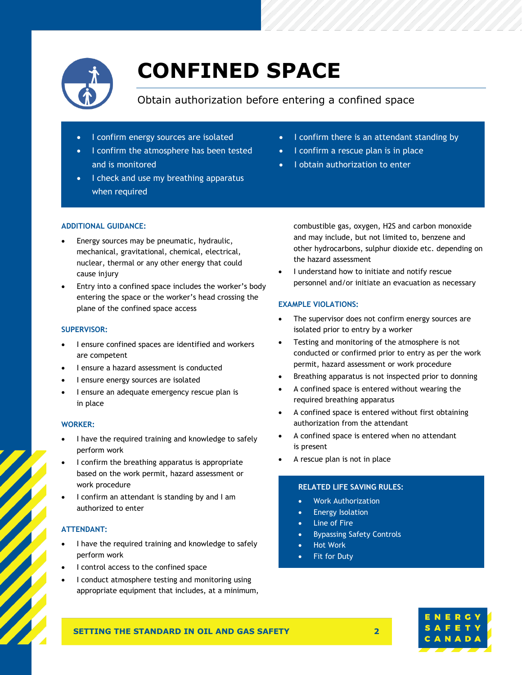

# <span id="page-4-0"></span>**CONFINED SPACE**

Obtain authorization before entering a confined space

- I confirm energy sources are isolated
- I confirm the atmosphere has been tested and is monitored
- I check and use my breathing apparatus when required
- I confirm there is an attendant standing by
- I confirm a rescue plan is in place
- I obtain authorization to enter

### **ADDITIONAL GUIDANCE:**

- Energy sources may be pneumatic, hydraulic, mechanical, gravitational, chemical, electrical, nuclear, thermal or any other energy that could cause injury
- Entry into a confined space includes the worker's body entering the space or the worker's head crossing the plane of the confined space access

### **SUPERVISOR:**

- I ensure confined spaces are identified and workers are competent
- I ensure a hazard assessment is conducted
- I ensure energy sources are isolated
- I ensure an adequate emergency rescue plan is in place

### **WORKER:**

- I have the required training and knowledge to safely perform work
- I confirm the breathing apparatus is appropriate based on the work permit, hazard assessment or work procedure
- I confirm an attendant is standing by and I am authorized to enter

### **ATTENDANT:**

- I have the required training and knowledge to safely perform work
- I control access to the confined space
- I conduct atmosphere testing and monitoring using appropriate equipment that includes, at a minimum,

combustible gas, oxygen, H2S and carbon monoxide and may include, but not limited to, benzene and other hydrocarbons, sulphur dioxide etc. depending on the hazard assessment

I understand how to initiate and notify rescue personnel and/or initiate an evacuation as necessary

### **EXAMPLE VIOLATIONS:**

- The supervisor does not confirm energy sources are isolated prior to entry by a worker
- Testing and monitoring of the atmosphere is not conducted or confirmed prior to entry as per the work permit, hazard assessment or work procedure
- Breathing apparatus is not inspected prior to donning
- A confined space is entered without wearing the required breathing apparatus
- A confined space is entered without first obtaining authorization from the attendant
- A confined space is entered when no attendant is present
- A rescue plan is not in place

### **RELATED LIFE SAVING RULES:**

- Work Authorization
- **Energy Isolation**
- Line of Fire
- Bypassing Safety Controls
- Hot Work
- Fit for Duty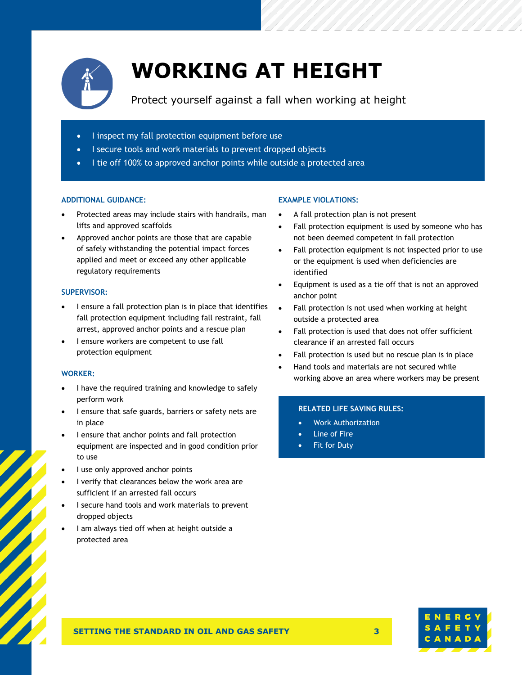

# <span id="page-5-0"></span>**WORKING AT HEIGHT**

### Protect yourself against a fall when working at height

- I inspect my fall protection equipment before use
- I secure tools and work materials to prevent dropped objects
- I tie off 100% to approved anchor points while outside a protected area

### **ADDITIONAL GUIDANCE:**

- Protected areas may include stairs with handrails, man lifts and approved scaffolds
- Approved anchor points are those that are capable of safely withstanding the potential impact forces applied and meet or exceed any other applicable regulatory requirements

### **SUPERVISOR:**

- I ensure a fall protection plan is in place that identifies fall protection equipment including fall restraint, fall arrest, approved anchor points and a rescue plan
- I ensure workers are competent to use fall protection equipment

### **WORKER:**

- I have the required training and knowledge to safely perform work
- I ensure that safe guards, barriers or safety nets are in place
- I ensure that anchor points and fall protection equipment are inspected and in good condition prior to use
- I use only approved anchor points
- I verify that clearances below the work area are sufficient if an arrested fall occurs
- I secure hand tools and work materials to prevent dropped objects
- I am always tied off when at height outside a protected area

### **EXAMPLE VIOLATIONS:**

- A fall protection plan is not present
- Fall protection equipment is used by someone who has not been deemed competent in fall protection
- Fall protection equipment is not inspected prior to use or the equipment is used when deficiencies are identified
- Equipment is used as a tie off that is not an approved anchor point
- Fall protection is not used when working at height outside a protected area
- Fall protection is used that does not offer sufficient clearance if an arrested fall occurs
- Fall protection is used but no rescue plan is in place
- Hand tools and materials are not secured while working above an area where workers may be present

- Work Authorization
- Line of Fire
- Fit for Duty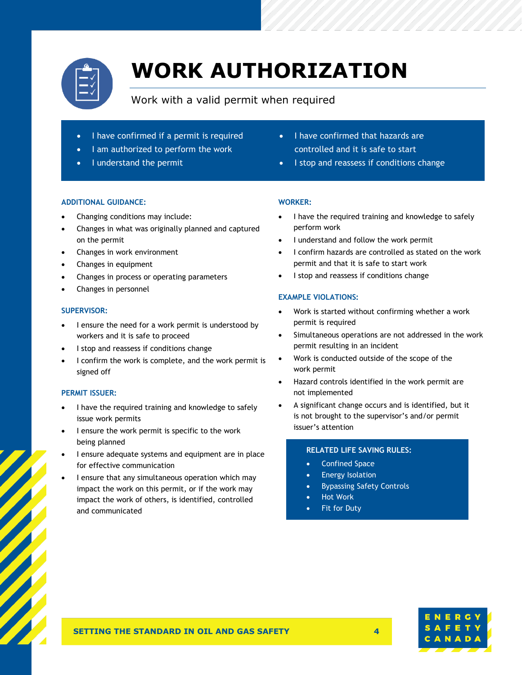

# <span id="page-6-0"></span>**WORK AUTHORIZATION**

### Work with a valid permit when required

- I have confirmed if a permit is required
- I am authorized to perform the work
- I understand the permit

### **ADDITIONAL GUIDANCE:**

- Changing conditions may include:
- Changes in what was originally planned and captured on the permit
- Changes in work environment
- Changes in equipment
- Changes in process or operating parameters
- Changes in personnel

### **SUPERVISOR:**

- I ensure the need for a work permit is understood by workers and it is safe to proceed
- I stop and reassess if conditions change
- I confirm the work is complete, and the work permit is signed off

### **PERMIT ISSUER:**

- I have the required training and knowledge to safely issue work permits
- I ensure the work permit is specific to the work being planned
- I ensure adequate systems and equipment are in place for effective communication
- I ensure that any simultaneous operation which may impact the work on this permit, or if the work may impact the work of others, is identified, controlled and communicated
- I have confirmed that hazards are controlled and it is safe to start
- I stop and reassess if conditions change

### **WORKER:**

- I have the required training and knowledge to safely perform work
- I understand and follow the work permit
- I confirm hazards are controlled as stated on the work permit and that it is safe to start work
- I stop and reassess if conditions change

### **EXAMPLE VIOLATIONS:**

- Work is started without confirming whether a work permit is required
- Simultaneous operations are not addressed in the work permit resulting in an incident
- Work is conducted outside of the scope of the work permit
- Hazard controls identified in the work permit are not implemented
- A significant change occurs and is identified, but it is not brought to the supervisor's and/or permit issuer's attention

- Confined Space
- **Energy Isolation**
- Bypassing Safety Controls
- Hot Work
- **Fit for Duty**

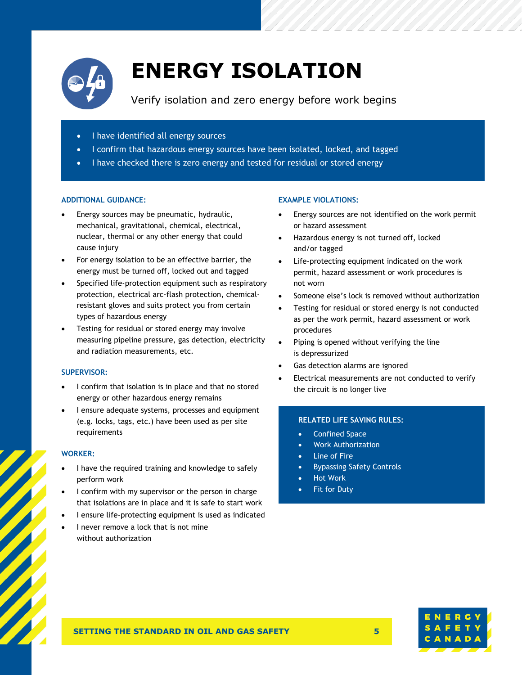

### <span id="page-7-0"></span>**ENERGY ISOLATION**

Verify isolation and zero energy before work begins

- I have identified all energy sources
- I confirm that hazardous energy sources have been isolated, locked, and tagged
- I have checked there is zero energy and tested for residual or stored energy

### **ADDITIONAL GUIDANCE:**

- Energy sources may be pneumatic, hydraulic, mechanical, gravitational, chemical, electrical, nuclear, thermal or any other energy that could cause injury
- For energy isolation to be an effective barrier, the energy must be turned off, locked out and tagged
- Specified life-protection equipment such as respiratory protection, electrical arc-flash protection, chemicalresistant gloves and suits protect you from certain types of hazardous energy
- Testing for residual or stored energy may involve measuring pipeline pressure, gas detection, electricity and radiation measurements, etc.

### **SUPERVISOR:**

- I confirm that isolation is in place and that no stored energy or other hazardous energy remains
- I ensure adequate systems, processes and equipment (e.g. locks, tags, etc.) have been used as per site requirements

### **WORKER:**

- I have the required training and knowledge to safely perform work
- I confirm with my supervisor or the person in charge that isolations are in place and it is safe to start work
- I ensure life-protecting equipment is used as indicated
- I never remove a lock that is not mine without authorization

### **EXAMPLE VIOLATIONS:**

- Energy sources are not identified on the work permit or hazard assessment
- Hazardous energy is not turned off, locked and/or tagged
- Life-protecting equipment indicated on the work permit, hazard assessment or work procedures is not worn
- Someone else's lock is removed without authorization
- Testing for residual or stored energy is not conducted as per the work permit, hazard assessment or work procedures
- Piping is opened without verifying the line is depressurized
- Gas detection alarms are ignored
- Electrical measurements are not conducted to verify the circuit is no longer live

- Confined Space
- Work Authorization
- **Line of Fire**
- Bypassing Safety Controls
- Hot Work
- Fit for Duty

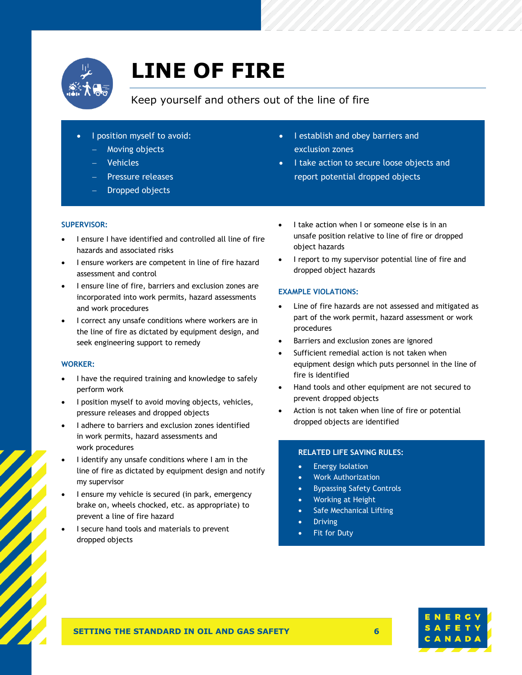

### <span id="page-8-0"></span>**LINE OF FIRE**

### Keep yourself and others out of the line of fire

- I position myself to avoid:
	- − Moving objects
	- − Vehicles
	- − Pressure releases
	- − Dropped objects
- I establish and obey barriers and exclusion zones
- I take action to secure loose objects and report potential dropped objects

### **SUPERVISOR:**

- I ensure I have identified and controlled all line of fire hazards and associated risks
- I ensure workers are competent in line of fire hazard assessment and control
- I ensure line of fire, barriers and exclusion zones are incorporated into work permits, hazard assessments and work procedures
- I correct any unsafe conditions where workers are in the line of fire as dictated by equipment design, and seek engineering support to remedy

### **WORKER:**

- I have the required training and knowledge to safely perform work
- I position myself to avoid moving objects, vehicles, pressure releases and dropped objects
- I adhere to barriers and exclusion zones identified in work permits, hazard assessments and work procedures
- I identify any unsafe conditions where I am in the line of fire as dictated by equipment design and notify my supervisor
- I ensure my vehicle is secured (in park, emergency brake on, wheels chocked, etc. as appropriate) to prevent a line of fire hazard
- I secure hand tools and materials to prevent dropped objects
- I take action when I or someone else is in an unsafe position relative to line of fire or dropped object hazards
- I report to my supervisor potential line of fire and dropped object hazards

### **EXAMPLE VIOLATIONS:**

- Line of fire hazards are not assessed and mitigated as part of the work permit, hazard assessment or work procedures
- Barriers and exclusion zones are ignored
- Sufficient remedial action is not taken when equipment design which puts personnel in the line of fire is identified
- Hand tools and other equipment are not secured to prevent dropped objects
- Action is not taken when line of fire or potential dropped objects are identified

- Energy Isolation
- Work Authorization
- Bypassing Safety Controls
- Working at Height
- Safe Mechanical Lifting
- **Driving**
- Fit for Duty



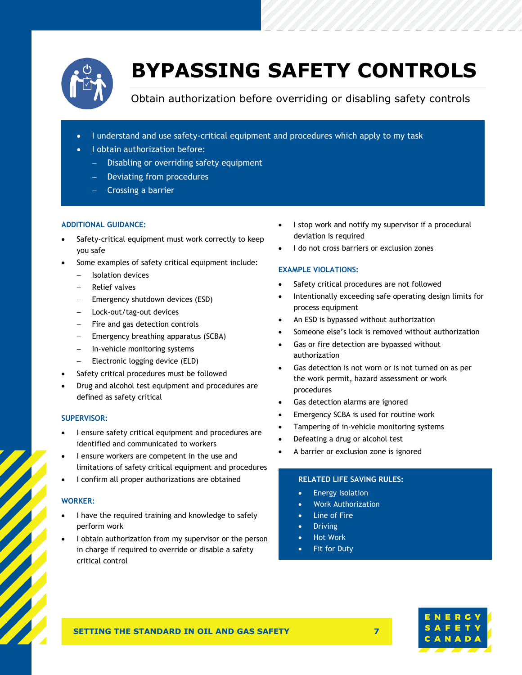

### <span id="page-9-0"></span>**BYPASSING SAFETY CONTROLS**

Obtain authorization before overriding or disabling safety controls

- I understand and use safety-critical equipment and procedures which apply to my task
- I obtain authorization before:
	- − Disabling or overriding safety equipment
	- − Deviating from procedures
	- − Crossing a barrier

### **ADDITIONAL GUIDANCE:**

- Safety-critical equipment must work correctly to keep you safe
- Some examples of safety critical equipment include:
	- − Isolation devices
	- − Relief valves
	- Emergency shutdown devices (ESD)
	- − Lock-out/tag-out devices
	- − Fire and gas detection controls
	- − Emergency breathing apparatus (SCBA)
	- − In-vehicle monitoring systems
	- − Electronic logging device (ELD)
- Safety critical procedures must be followed
- Drug and alcohol test equipment and procedures are defined as safety critical

### **SUPERVISOR:**

- I ensure safety critical equipment and procedures are identified and communicated to workers
- I ensure workers are competent in the use and limitations of safety critical equipment and procedures
- I confirm all proper authorizations are obtained

### **WORKER:**

- I have the required training and knowledge to safely perform work
- I obtain authorization from my supervisor or the person in charge if required to override or disable a safety critical control
- I stop work and notify my supervisor if a procedural deviation is required
- I do not cross barriers or exclusion zones

### **EXAMPLE VIOLATIONS:**

- Safety critical procedures are not followed
- Intentionally exceeding safe operating design limits for process equipment
- An ESD is bypassed without authorization
- Someone else's lock is removed without authorization
- Gas or fire detection are bypassed without authorization
- Gas detection is not worn or is not turned on as per the work permit, hazard assessment or work procedures
- Gas detection alarms are ignored
- Emergency SCBA is used for routine work
- Tampering of in-vehicle monitoring systems
- Defeating a drug or alcohol test
- A barrier or exclusion zone is ignored

- Energy Isolation
- Work Authorization
- **Line of Fire**
- **Driving**
- Hot Work
- Fit for Duty

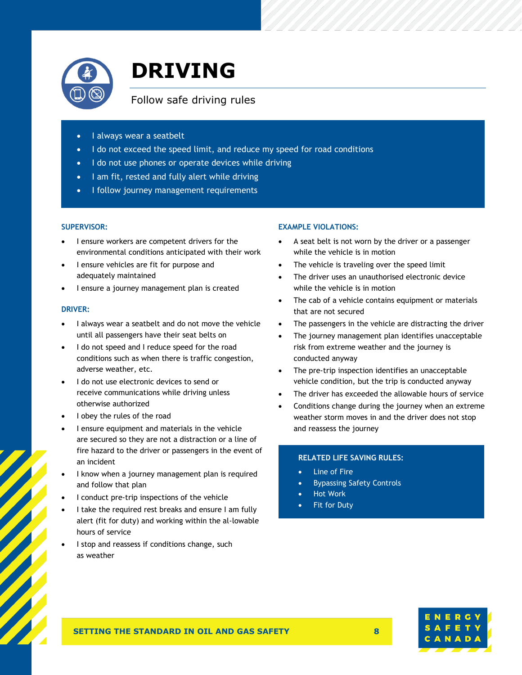

### <span id="page-10-0"></span>**DRIVING**

### Follow safe driving rules

- I always wear a seatbelt
- I do not exceed the speed limit, and reduce my speed for road conditions
- I do not use phones or operate devices while driving
- I am fit, rested and fully alert while driving
- I follow journey management requirements

### **SUPERVISOR:**

- I ensure workers are competent drivers for the environmental conditions anticipated with their work
- I ensure vehicles are fit for purpose and adequately maintained
- I ensure a journey management plan is created

### **DRIVER:**

- I always wear a seatbelt and do not move the vehicle until all passengers have their seat belts on
- I do not speed and I reduce speed for the road conditions such as when there is traffic congestion, adverse weather, etc.
- I do not use electronic devices to send or receive communications while driving unless otherwise authorized
- I obey the rules of the road
- I ensure equipment and materials in the vehicle are secured so they are not a distraction or a line of fire hazard to the driver or passengers in the event of an incident
- I know when a journey management plan is required and follow that plan
- I conduct pre-trip inspections of the vehicle
- I take the required rest breaks and ensure I am fully alert (fit for duty) and working within the al-lowable hours of service
- I stop and reassess if conditions change, such as weather

### **EXAMPLE VIOLATIONS:**

- A seat belt is not worn by the driver or a passenger while the vehicle is in motion
- The vehicle is traveling over the speed limit
- The driver uses an unauthorised electronic device while the vehicle is in motion
- The cab of a vehicle contains equipment or materials that are not secured
- The passengers in the vehicle are distracting the driver
- The journey management plan identifies unacceptable risk from extreme weather and the journey is conducted anyway
- The pre-trip inspection identifies an unacceptable vehicle condition, but the trip is conducted anyway
- The driver has exceeded the allowable hours of service
- Conditions change during the journey when an extreme weather storm moves in and the driver does not stop and reassess the journey

- Line of Fire
- Bypassing Safety Controls
- Hot Work
- **Fit for Duty**

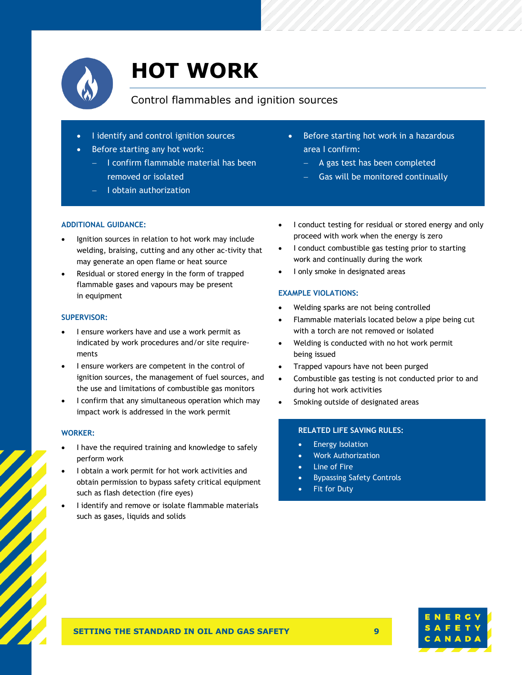

### <span id="page-11-0"></span>**HOT WORK**

### Control flammables and ignition sources

- I identify and control ignition sources
- Before starting any hot work:
	- − I confirm flammable material has been removed or isolated
	- − I obtain authorization
- Before starting hot work in a hazardous area I confirm:
	- − A gas test has been completed
	- Gas will be monitored continually

### **ADDITIONAL GUIDANCE:**

- Ignition sources in relation to hot work may include welding, braising, cutting and any other ac-tivity that may generate an open flame or heat source
- Residual or stored energy in the form of trapped flammable gases and vapours may be present in equipment

### **SUPERVISOR:**

- I ensure workers have and use a work permit as indicated by work procedures and/or site requirements
- I ensure workers are competent in the control of ignition sources, the management of fuel sources, and the use and limitations of combustible gas monitors
- I confirm that any simultaneous operation which may impact work is addressed in the work permit

### **WORKER:**

- I have the required training and knowledge to safely perform work
- I obtain a work permit for hot work activities and obtain permission to bypass safety critical equipment such as flash detection (fire eyes)
- I identify and remove or isolate flammable materials such as gases, liquids and solids
- I conduct testing for residual or stored energy and only proceed with work when the energy is zero
- I conduct combustible gas testing prior to starting work and continually during the work
- I only smoke in designated areas

### **EXAMPLE VIOLATIONS:**

- Welding sparks are not being controlled
- Flammable materials located below a pipe being cut with a torch are not removed or isolated
- Welding is conducted with no hot work permit being issued
- Trapped vapours have not been purged
- Combustible gas testing is not conducted prior to and during hot work activities
- Smoking outside of designated areas

- Energy Isolation
- Work Authorization
- Line of Fire
- Bypassing Safety Controls
- Fit for Duty

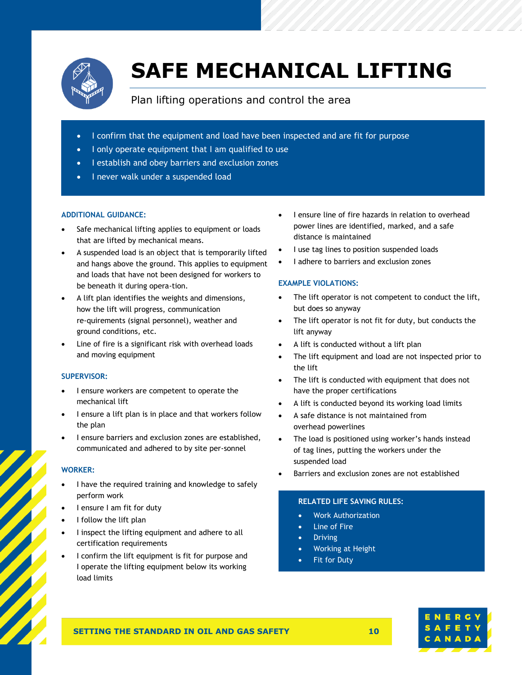

# <span id="page-12-0"></span>**SAFE MECHANICAL LIFTING**

### Plan lifting operations and control the area

- I confirm that the equipment and load have been inspected and are fit for purpose
- I only operate equipment that I am qualified to use
- I establish and obey barriers and exclusion zones
- I never walk under a suspended load

### **ADDITIONAL GUIDANCE:**

- Safe mechanical lifting applies to equipment or loads that are lifted by mechanical means.
- A suspended load is an object that is temporarily lifted and hangs above the ground. This applies to equipment and loads that have not been designed for workers to be beneath it during opera-tion.
- A lift plan identifies the weights and dimensions, how the lift will progress, communication re-quirements (signal personnel), weather and ground conditions, etc.
- Line of fire is a significant risk with overhead loads and moving equipment

### **SUPERVISOR:**

- I ensure workers are competent to operate the mechanical lift
- I ensure a lift plan is in place and that workers follow the plan
- I ensure barriers and exclusion zones are established, communicated and adhered to by site per-sonnel

### **WORKER:**

- I have the required training and knowledge to safely perform work
- I ensure I am fit for duty
- I follow the lift plan
- I inspect the lifting equipment and adhere to all certification requirements
- I confirm the lift equipment is fit for purpose and I operate the lifting equipment below its working load limits
- I ensure line of fire hazards in relation to overhead power lines are identified, marked, and a safe distance is maintained
- I use tag lines to position suspended loads
- I adhere to barriers and exclusion zones

### **EXAMPLE VIOLATIONS:**

- The lift operator is not competent to conduct the lift, but does so anyway
- The lift operator is not fit for duty, but conducts the lift anyway
- A lift is conducted without a lift plan
- The lift equipment and load are not inspected prior to the lift
- The lift is conducted with equipment that does not have the proper certifications
- A lift is conducted beyond its working load limits
- A safe distance is not maintained from overhead powerlines
- The load is positioned using worker's hands instead of tag lines, putting the workers under the suspended load
- Barriers and exclusion zones are not established

### **RELATED LIFE SAVING RULES:**

- Work Authorization
- **Line of Fire**
- **Driving**
- Working at Height
- Fit for Duty

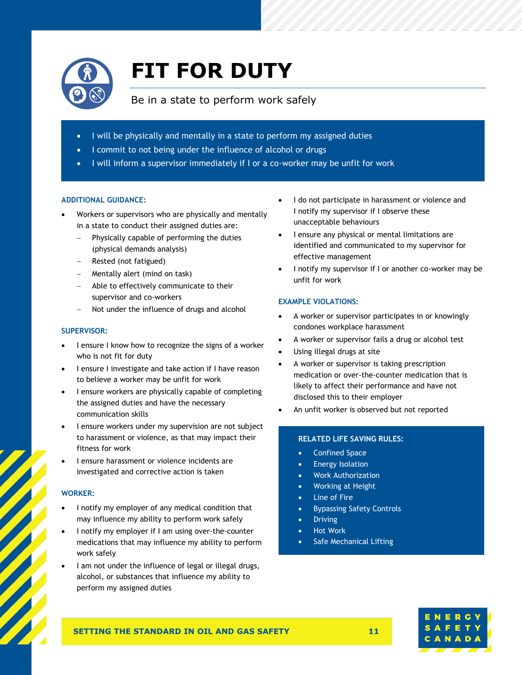

# <span id="page-13-0"></span>**FIT FOR DUTY**

### Be in a state to perform work safely

- I will be physically and mentally in a state to perform my assigned duties
- I commit to not being under the influence of alcohol or drugs
- I will inform a supervisor immediately if I or a co-worker may be unfit for work

### **ADDITIONAL GUIDANCE:**

- Workers or supervisors who are physically and mentally in a state to conduct their assigned duties are:
	- − Physically capable of performing the duties (physical demands analysis)
	- − Rested (not fatigued)
	- − Mentally alert (mind on task)
	- − Able to effectively communicate to their supervisor and co-workers
	- Not under the influence of drugs and alcohol

### **SUPERVISOR:**

- I ensure I know how to recognize the signs of a worker who is not fit for duty
- I ensure I investigate and take action if I have reason to believe a worker may be unfit for work
- I ensure workers are physically capable of completing the assigned duties and have the necessary communication skills
- I ensure workers under my supervision are not subject to harassment or violence, as that may impact their fitness for work
- I ensure harassment or violence incidents are investigated and corrective action is taken

### **WORKER:**

- I notify my employer of any medical condition that may influence my ability to perform work safely
- I notify my employer if I am using over-the-counter medications that may influence my ability to perform work safely
- I am not under the influence of legal or illegal drugs, alcohol, or substances that influence my ability to perform my assigned duties
- I do not participate in harassment or violence and I notify my supervisor if I observe these unacceptable behaviours
- I ensure any physical or mental limitations are identified and communicated to my supervisor for effective management
- I notify my supervisor if I or another co-worker may be unfit for work

### **EXAMPLE VIOLATIONS:**

- A worker or supervisor participates in or knowingly condones workplace harassment
- A worker or supervisor fails a drug or alcohol test
- Using illegal drugs at site
- A worker or supervisor is taking prescription medication or over-the-counter medication that is likely to affect their performance and have not disclosed this to their employer
- An unfit worker is observed but not reported

- Confined Space
- Energy Isolation
- Work Authorization
- Working at Height
- **Line of Fire**
- Bypassing Safety Controls
- **Driving**
- Hot Work
- Safe Mechanical Lifting